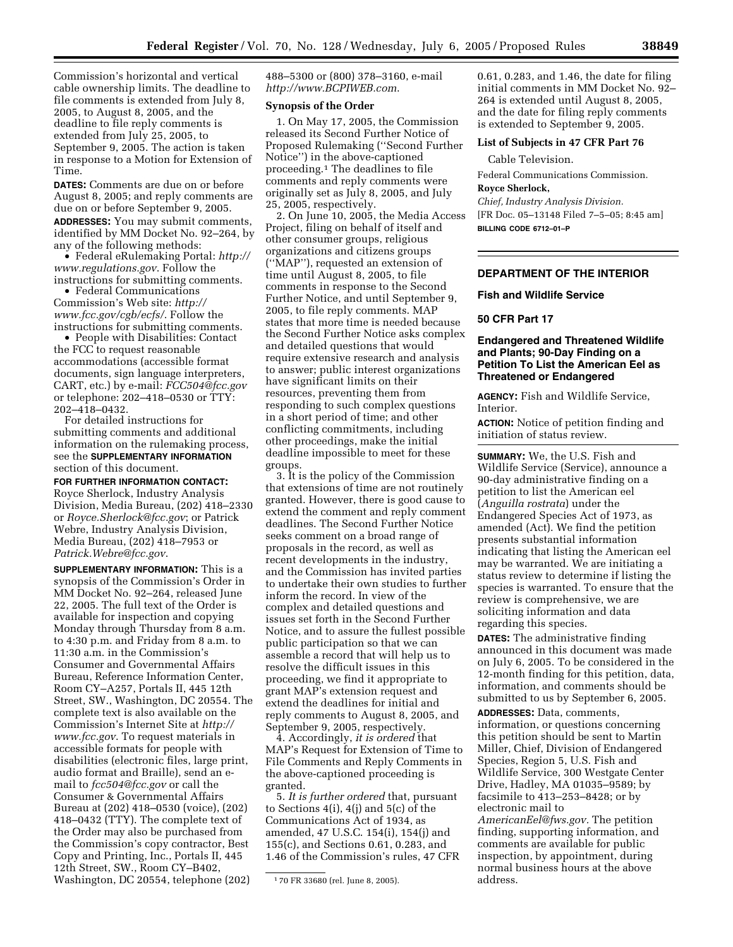Commission's horizontal and vertical cable ownership limits. The deadline to file comments is extended from July 8, 2005, to August 8, 2005, and the deadline to file reply comments is extended from July 25, 2005, to September 9, 2005. The action is taken in response to a Motion for Extension of Time.

**DATES:** Comments are due on or before August 8, 2005; and reply comments are due on or before September 9, 2005. **ADDRESSES:** You may submit comments, identified by MM Docket No. 92–264, by any of the following methods:

• [Federal eRulemaking Portal:](http://www.regulations.gov) *http:// www.regulations.gov*. Follow the instructions for submitting comments.

• Federal Communications [Commission's Web site:](http://www.fcc.gov/cgb/ecfs/) *http:// www.fcc.gov/cgb/ecfs/*. Follow the instructions for submitting comments.

• People with Disabilities: Contact the FCC to request reasonable accommodations (accessible format documents, sign language interpreters, CART, etc.) by e-mail: *[FCC504@fcc.gov](mailto:FCC504@fcc.gov)* or telephone: 202–418–0530 or TTY: 202–418–0432.

For detailed instructions for submitting comments and additional information on the rulemaking process, see the **SUPPLEMENTARY INFORMATION** section of this document.

**FOR FURTHER INFORMATION CONTACT:** Royce Sherlock, Industry Analysis Division, Media Bureau, (202) 418–2330 or *[Royce.Sherlock@fcc.gov](mailto:Royce.Sherlock@fcc.gov)*; or Patrick Webre, Industry Analysis Division, Media Bureau, (202) 418–7953 or *[Patrick.Webre@fcc.gov](mailto:Patrick.Webre@fcc.gov)*.

**SUPPLEMENTARY INFORMATION:** This is a synopsis of the Commission's Order in MM Docket No. 92–264, released June 22, 2005. The full text of the Order is available for inspection and copying Monday through Thursday from 8 a.m. to 4:30 p.m. and Friday from 8 a.m. to 11:30 a.m. in the Commission's Consumer and Governmental Affairs Bureau, Reference Information Center, Room CY–A257, Portals II, 445 12th Street, SW., Washington, DC 20554. The complete text is also available on the [Commission's Internet Site at](http://www.fcc.gov) *http:// www.fcc.gov*. To request materials in accessible formats for people with disabilities (electronic files, large print, audio format and Braille), send an email to *[fcc504@fcc.gov](mailto:fcc504@fcc.gov)* or call the Consumer & Governmental Affairs Bureau at (202) 418–0530 (voice), (202) 418–0432 (TTY). The complete text of the Order may also be purchased from the Commission's copy contractor, Best Copy and Printing, Inc., Portals II, 445 12th Street, SW., Room CY–B402, Washington, DC 20554, telephone (202)

488–5300 or (800) 378–3160, e-mail *<http://www.BCPIWEB.com>*.

## **Synopsis of the Order**

1. On May 17, 2005, the Commission released its Second Further Notice of Proposed Rulemaking (''Second Further Notice'') in the above-captioned proceeding.1 The deadlines to file comments and reply comments were originally set as July 8, 2005, and July 25, 2005, respectively.

2. On June 10, 2005, the Media Access Project, filing on behalf of itself and other consumer groups, religious organizations and citizens groups (''MAP''), requested an extension of time until August 8, 2005, to file comments in response to the Second Further Notice, and until September 9, 2005, to file reply comments. MAP states that more time is needed because the Second Further Notice asks complex and detailed questions that would require extensive research and analysis to answer; public interest organizations have significant limits on their resources, preventing them from responding to such complex questions in a short period of time; and other conflicting commitments, including other proceedings, make the initial deadline impossible to meet for these groups.

3. It is the policy of the Commission that extensions of time are not routinely granted. However, there is good cause to extend the comment and reply comment deadlines. The Second Further Notice seeks comment on a broad range of proposals in the record, as well as recent developments in the industry, and the Commission has invited parties to undertake their own studies to further inform the record. In view of the complex and detailed questions and issues set forth in the Second Further Notice, and to assure the fullest possible public participation so that we can assemble a record that will help us to resolve the difficult issues in this proceeding, we find it appropriate to grant MAP's extension request and extend the deadlines for initial and reply comments to August 8, 2005, and September 9, 2005, respectively.

4. Accordingly, *it is ordered* that MAP's Request for Extension of Time to File Comments and Reply Comments in the above-captioned proceeding is granted.

5. *It is further ordered* that, pursuant to Sections 4(i), 4(j) and 5(c) of the Communications Act of 1934, as amended, 47 U.S.C. 154(i), 154(j) and 155(c), and Sections 0.61, 0.283, and 1.46 of the Commission's rules, 47 CFR 0.61, 0.283, and 1.46, the date for filing initial comments in MM Docket No. 92– 264 is extended until August 8, 2005, and the date for filing reply comments is extended to September 9, 2005.

## **List of Subjects in 47 CFR Part 76**

Cable Television.

Federal Communications Commission.

**Royce Sherlock,** 

*Chief, Industry Analysis Division.* [FR Doc. 05–13148 Filed 7–5–05; 8:45 am] **BILLING CODE 6712–01–P**

## **DEPARTMENT OF THE INTERIOR**

#### **Fish and Wildlife Service**

# **50 CFR Part 17**

# **Endangered and Threatened Wildlife and Plants; 90-Day Finding on a Petition To List the American Eel as Threatened or Endangered**

**AGENCY:** Fish and Wildlife Service, Interior.

**ACTION:** Notice of petition finding and initiation of status review.

**SUMMARY:** We, the U.S. Fish and Wildlife Service (Service), announce a 90-day administrative finding on a petition to list the American eel (*Anguilla rostrata*) under the Endangered Species Act of 1973, as amended (Act). We find the petition presents substantial information indicating that listing the American eel may be warranted. We are initiating a status review to determine if listing the species is warranted. To ensure that the review is comprehensive, we are soliciting information and data regarding this species.

**DATES:** The administrative finding announced in this document was made on July 6, 2005. To be considered in the 12-month finding for this petition, data, information, and comments should be submitted to us by September 6, 2005.

**ADDRESSES:** Data, comments, information, or questions concerning this petition should be sent to Martin Miller, Chief, Division of Endangered Species, Region 5, U.S. Fish and Wildlife Service, 300 Westgate Center Drive, Hadley, MA 01035–9589; by facsimile to 413–253–8428; or by electronic mail to

*[AmericanEel@fws.gov.](mailto:AmericanEel@fws.gov)* The petition finding, supporting information, and comments are available for public inspection, by appointment, during normal business hours at the above address.

<sup>1</sup> 70 FR 33680 (rel. June 8, 2005).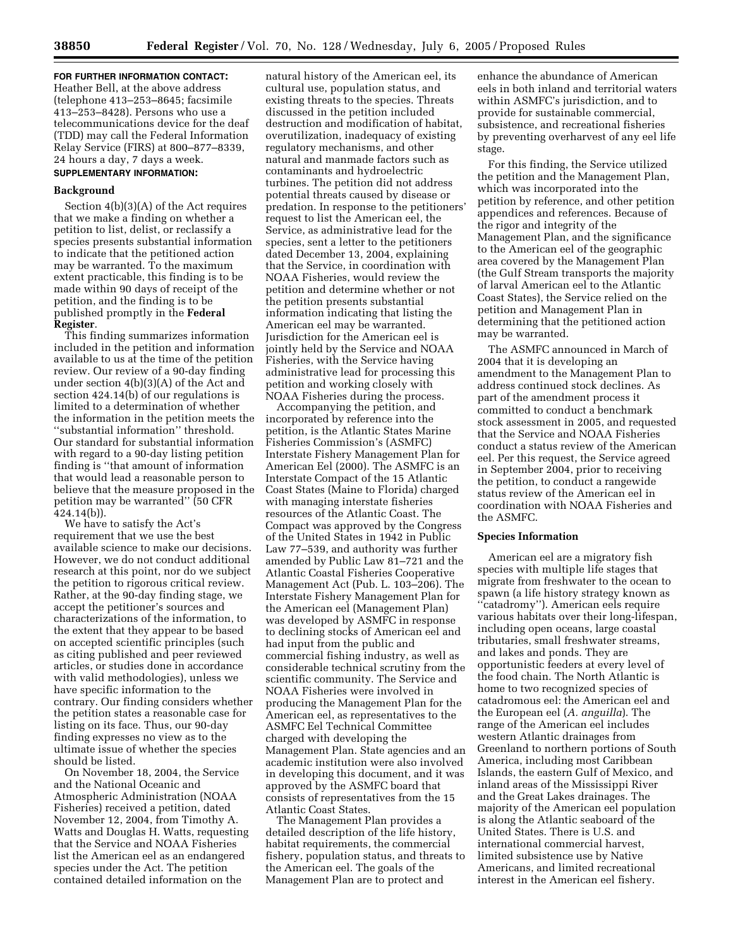**FOR FURTHER INFORMATION CONTACT:** Heather Bell, at the above address (telephone 413–253–8645; facsimile 413–253–8428). Persons who use a telecommunications device for the deaf (TDD) may call the Federal Information Relay Service (FIRS) at 800–877–8339, 24 hours a day, 7 days a week. **SUPPLEMENTARY INFORMATION:** 

# **Background**

Section 4(b)(3)(A) of the Act requires that we make a finding on whether a petition to list, delist, or reclassify a species presents substantial information to indicate that the petitioned action may be warranted. To the maximum extent practicable, this finding is to be made within 90 days of receipt of the petition, and the finding is to be published promptly in the **Federal Register**.

This finding summarizes information included in the petition and information available to us at the time of the petition review. Our review of a 90-day finding under section 4(b)(3)(A) of the Act and section 424.14(b) of our regulations is limited to a determination of whether the information in the petition meets the ''substantial information'' threshold. Our standard for substantial information with regard to a 90-day listing petition finding is ''that amount of information that would lead a reasonable person to believe that the measure proposed in the petition may be warranted'' (50 CFR 424.14(b)).

We have to satisfy the Act's requirement that we use the best available science to make our decisions. However, we do not conduct additional research at this point, nor do we subject the petition to rigorous critical review. Rather, at the 90-day finding stage, we accept the petitioner's sources and characterizations of the information, to the extent that they appear to be based on accepted scientific principles (such as citing published and peer reviewed articles, or studies done in accordance with valid methodologies), unless we have specific information to the contrary. Our finding considers whether the petition states a reasonable case for listing on its face. Thus, our 90-day finding expresses no view as to the ultimate issue of whether the species should be listed.

On November 18, 2004, the Service and the National Oceanic and Atmospheric Administration (NOAA Fisheries) received a petition, dated November 12, 2004, from Timothy A. Watts and Douglas H. Watts, requesting that the Service and NOAA Fisheries list the American eel as an endangered species under the Act. The petition contained detailed information on the

natural history of the American eel, its cultural use, population status, and existing threats to the species. Threats discussed in the petition included destruction and modification of habitat, overutilization, inadequacy of existing regulatory mechanisms, and other natural and manmade factors such as contaminants and hydroelectric turbines. The petition did not address potential threats caused by disease or predation. In response to the petitioners' request to list the American eel, the Service, as administrative lead for the species, sent a letter to the petitioners dated December 13, 2004, explaining that the Service, in coordination with NOAA Fisheries, would review the petition and determine whether or not the petition presents substantial information indicating that listing the American eel may be warranted. Jurisdiction for the American eel is jointly held by the Service and NOAA Fisheries, with the Service having administrative lead for processing this petition and working closely with NOAA Fisheries during the process.

Accompanying the petition, and incorporated by reference into the petition, is the Atlantic States Marine Fisheries Commission's (ASMFC) Interstate Fishery Management Plan for American Eel (2000). The ASMFC is an Interstate Compact of the 15 Atlantic Coast States (Maine to Florida) charged with managing interstate fisheries resources of the Atlantic Coast. The Compact was approved by the Congress of the United States in 1942 in Public Law 77–539, and authority was further amended by Public Law 81–721 and the Atlantic Coastal Fisheries Cooperative Management Act (Pub. L. 103–206). The Interstate Fishery Management Plan for the American eel (Management Plan) was developed by ASMFC in response to declining stocks of American eel and had input from the public and commercial fishing industry, as well as considerable technical scrutiny from the scientific community. The Service and NOAA Fisheries were involved in producing the Management Plan for the American eel, as representatives to the ASMFC Eel Technical Committee charged with developing the Management Plan. State agencies and an academic institution were also involved in developing this document, and it was approved by the ASMFC board that consists of representatives from the 15 Atlantic Coast States.

The Management Plan provides a detailed description of the life history, habitat requirements, the commercial fishery, population status, and threats to the American eel. The goals of the Management Plan are to protect and

enhance the abundance of American eels in both inland and territorial waters within ASMFC's jurisdiction, and to provide for sustainable commercial, subsistence, and recreational fisheries by preventing overharvest of any eel life stage.

For this finding, the Service utilized the petition and the Management Plan, which was incorporated into the petition by reference, and other petition appendices and references. Because of the rigor and integrity of the Management Plan, and the significance to the American eel of the geographic area covered by the Management Plan (the Gulf Stream transports the majority of larval American eel to the Atlantic Coast States), the Service relied on the petition and Management Plan in determining that the petitioned action may be warranted.

The ASMFC announced in March of 2004 that it is developing an amendment to the Management Plan to address continued stock declines. As part of the amendment process it committed to conduct a benchmark stock assessment in 2005, and requested that the Service and NOAA Fisheries conduct a status review of the American eel. Per this request, the Service agreed in September 2004, prior to receiving the petition, to conduct a rangewide status review of the American eel in coordination with NOAA Fisheries and the ASMFC.

#### **Species Information**

American eel are a migratory fish species with multiple life stages that migrate from freshwater to the ocean to spawn (a life history strategy known as ''catadromy''). American eels require various habitats over their long-lifespan, including open oceans, large coastal tributaries, small freshwater streams, and lakes and ponds. They are opportunistic feeders at every level of the food chain. The North Atlantic is home to two recognized species of catadromous eel: the American eel and the European eel (*A. anguilla*). The range of the American eel includes western Atlantic drainages from Greenland to northern portions of South America, including most Caribbean Islands, the eastern Gulf of Mexico, and inland areas of the Mississippi River and the Great Lakes drainages. The majority of the American eel population is along the Atlantic seaboard of the United States. There is U.S. and international commercial harvest, limited subsistence use by Native Americans, and limited recreational interest in the American eel fishery.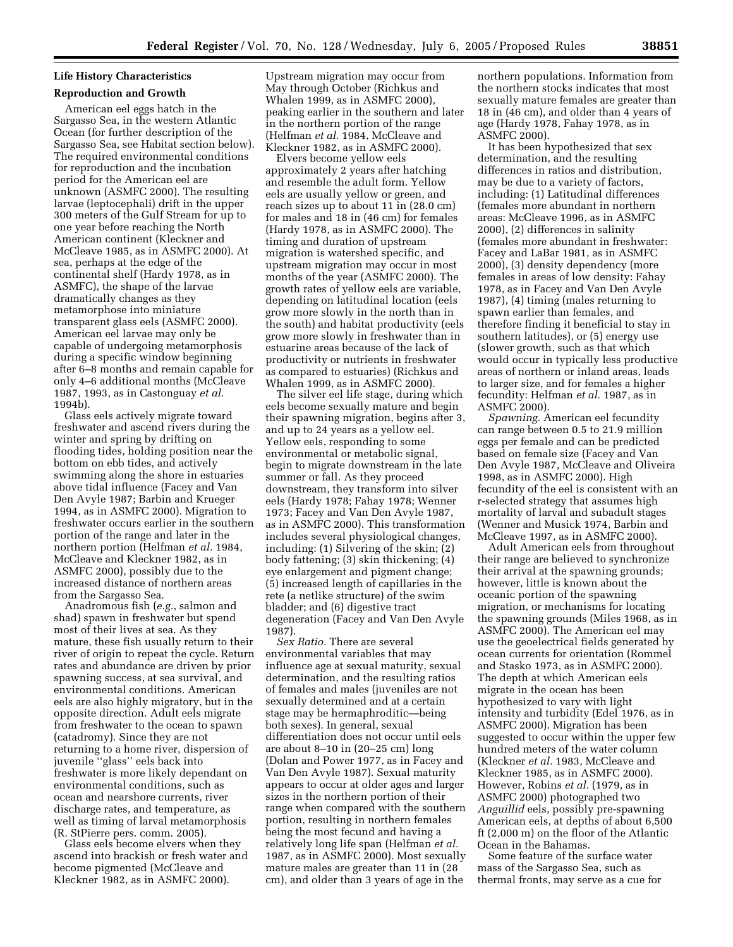# **Life History Characteristics**

# **Reproduction and Growth**

American eel eggs hatch in the Sargasso Sea, in the western Atlantic Ocean (for further description of the Sargasso Sea, see Habitat section below). The required environmental conditions for reproduction and the incubation period for the American eel are unknown (ASMFC 2000). The resulting larvae (leptocephali) drift in the upper 300 meters of the Gulf Stream for up to one year before reaching the North American continent (Kleckner and McCleave 1985, as in ASMFC 2000). At sea, perhaps at the edge of the continental shelf (Hardy 1978, as in ASMFC), the shape of the larvae dramatically changes as they metamorphose into miniature transparent glass eels (ASMFC 2000). American eel larvae may only be capable of undergoing metamorphosis during a specific window beginning after 6–8 months and remain capable for only 4–6 additional months (McCleave 1987, 1993, as in Castonguay *et al.* 1994b).

Glass eels actively migrate toward freshwater and ascend rivers during the winter and spring by drifting on flooding tides, holding position near the bottom on ebb tides, and actively swimming along the shore in estuaries above tidal influence (Facey and Van Den Avyle 1987; Barbin and Krueger 1994, as in ASMFC 2000). Migration to freshwater occurs earlier in the southern portion of the range and later in the northern portion (Helfman *et al.* 1984, McCleave and Kleckner 1982, as in ASMFC 2000), possibly due to the increased distance of northern areas from the Sargasso Sea.

Anadromous fish (*e.g.*, salmon and shad) spawn in freshwater but spend most of their lives at sea. As they mature, these fish usually return to their river of origin to repeat the cycle. Return rates and abundance are driven by prior spawning success, at sea survival, and environmental conditions. American eels are also highly migratory, but in the opposite direction. Adult eels migrate from freshwater to the ocean to spawn (catadromy). Since they are not returning to a home river, dispersion of juvenile ''glass'' eels back into freshwater is more likely dependant on environmental conditions, such as ocean and nearshore currents, river discharge rates, and temperature, as well as timing of larval metamorphosis (R. StPierre pers. comm. 2005).

Glass eels become elvers when they ascend into brackish or fresh water and become pigmented (McCleave and Kleckner 1982, as in ASMFC 2000).

Upstream migration may occur from May through October (Richkus and Whalen 1999, as in ASMFC 2000), peaking earlier in the southern and later in the northern portion of the range (Helfman *et al.* 1984, McCleave and Kleckner 1982, as in ASMFC 2000).

Elvers become yellow eels approximately 2 years after hatching and resemble the adult form. Yellow eels are usually yellow or green, and reach sizes up to about 11 in (28.0 cm) for males and 18 in (46 cm) for females (Hardy 1978, as in ASMFC 2000). The timing and duration of upstream migration is watershed specific, and upstream migration may occur in most months of the year (ASMFC 2000). The growth rates of yellow eels are variable, depending on latitudinal location (eels grow more slowly in the north than in the south) and habitat productivity (eels grow more slowly in freshwater than in estuarine areas because of the lack of productivity or nutrients in freshwater as compared to estuaries) (Richkus and Whalen 1999, as in ASMFC 2000).

The silver eel life stage, during which eels become sexually mature and begin their spawning migration, begins after 3, and up to 24 years as a yellow eel. Yellow eels, responding to some environmental or metabolic signal, begin to migrate downstream in the late summer or fall. As they proceed downstream, they transform into silver eels (Hardy 1978; Fahay 1978; Wenner 1973; Facey and Van Den Avyle 1987, as in ASMFC 2000). This transformation includes several physiological changes, including: (1) Silvering of the skin; (2) body fattening; (3) skin thickening; (4) eye enlargement and pigment change; (5) increased length of capillaries in the rete (a netlike structure) of the swim bladder; and (6) digestive tract degeneration (Facey and Van Den Avyle 1987).

*Sex Ratio.* There are several environmental variables that may influence age at sexual maturity, sexual determination, and the resulting ratios of females and males (juveniles are not sexually determined and at a certain stage may be hermaphroditic—being both sexes). In general, sexual differentiation does not occur until eels are about 8–10 in (20–25 cm) long (Dolan and Power 1977, as in Facey and Van Den Avyle 1987). Sexual maturity appears to occur at older ages and larger sizes in the northern portion of their range when compared with the southern portion, resulting in northern females being the most fecund and having a relatively long life span (Helfman *et al.* 1987, as in ASMFC 2000). Most sexually mature males are greater than 11 in (28 cm), and older than 3 years of age in the

northern populations. Information from the northern stocks indicates that most sexually mature females are greater than 18 in (46 cm), and older than 4 years of age (Hardy 1978, Fahay 1978, as in ASMFC 2000).

It has been hypothesized that sex determination, and the resulting differences in ratios and distribution, may be due to a variety of factors, including: (1) Latitudinal differences (females more abundant in northern areas: McCleave 1996, as in ASMFC 2000), (2) differences in salinity (females more abundant in freshwater: Facey and LaBar 1981, as in ASMFC 2000), (3) density dependency (more females in areas of low density: Fahay 1978, as in Facey and Van Den Avyle 1987), (4) timing (males returning to spawn earlier than females, and therefore finding it beneficial to stay in southern latitudes), or (5) energy use (slower growth, such as that which would occur in typically less productive areas of northern or inland areas, leads to larger size, and for females a higher fecundity: Helfman *et al.* 1987, as in ASMFC 2000).

*Spawning.* American eel fecundity can range between 0.5 to 21.9 million eggs per female and can be predicted based on female size (Facey and Van Den Avyle 1987, McCleave and Oliveira 1998, as in ASMFC 2000). High fecundity of the eel is consistent with an r-selected strategy that assumes high mortality of larval and subadult stages (Wenner and Musick 1974, Barbin and McCleave 1997, as in ASMFC 2000).

Adult American eels from throughout their range are believed to synchronize their arrival at the spawning grounds; however, little is known about the oceanic portion of the spawning migration, or mechanisms for locating the spawning grounds (Miles 1968, as in ASMFC 2000). The American eel may use the geoelectrical fields generated by ocean currents for orientation (Rommel and Stasko 1973, as in ASMFC 2000). The depth at which American eels migrate in the ocean has been hypothesized to vary with light intensity and turbidity (Edel 1976, as in ASMFC 2000). Migration has been suggested to occur within the upper few hundred meters of the water column (Kleckner *et al.* 1983, McCleave and Kleckner 1985, as in ASMFC 2000). However, Robins *et al.* (1979, as in ASMFC 2000) photographed two *Anguillid* eels, possibly pre-spawning American eels, at depths of about 6,500 ft (2,000 m) on the floor of the Atlantic Ocean in the Bahamas.

Some feature of the surface water mass of the Sargasso Sea, such as thermal fronts, may serve as a cue for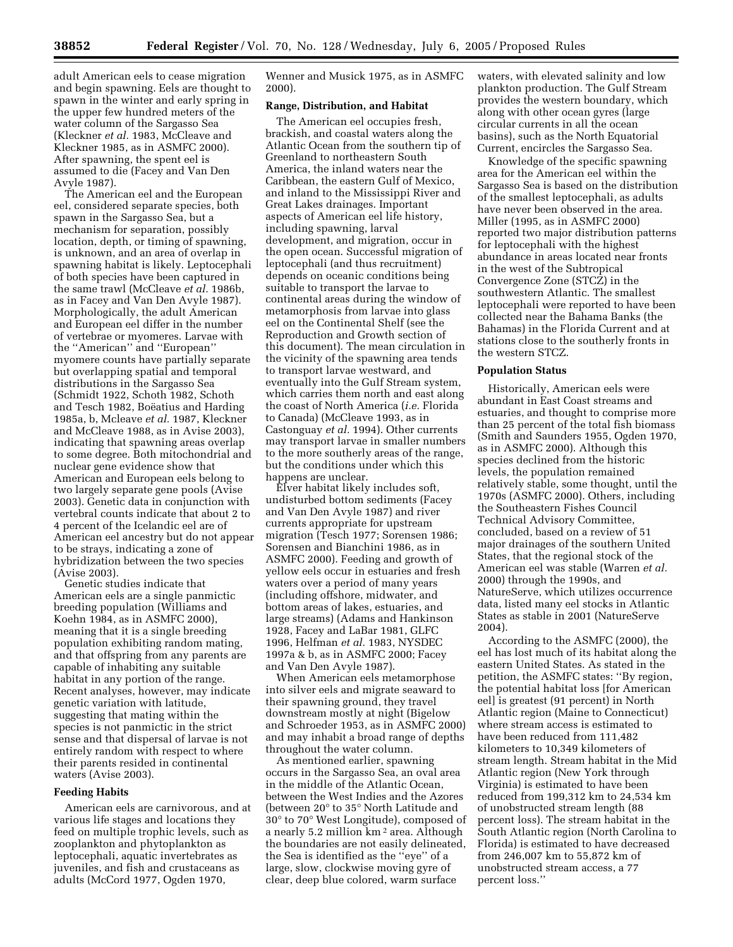adult American eels to cease migration and begin spawning. Eels are thought to spawn in the winter and early spring in the upper few hundred meters of the water column of the Sargasso Sea (Kleckner *et al.* 1983, McCleave and Kleckner 1985, as in ASMFC 2000). After spawning, the spent eel is assumed to die (Facey and Van Den Avyle 1987).

The American eel and the European eel, considered separate species, both spawn in the Sargasso Sea, but a mechanism for separation, possibly location, depth, or timing of spawning, is unknown, and an area of overlap in spawning habitat is likely. Leptocephali of both species have been captured in the same trawl (McCleave *et al.* 1986b, as in Facey and Van Den Avyle 1987). Morphologically, the adult American and European eel differ in the number of vertebrae or myomeres. Larvae with the ''American'' and ''European'' myomere counts have partially separate but overlapping spatial and temporal distributions in the Sargasso Sea (Schmidt 1922, Schoth 1982, Schoth and Tesch 1982, Boëatius and Harding 1985a, b, Mcleave *et al.* 1987, Kleckner and McCleave 1988, as in Avise 2003), indicating that spawning areas overlap to some degree. Both mitochondrial and nuclear gene evidence show that American and European eels belong to two largely separate gene pools (Avise 2003). Genetic data in conjunction with vertebral counts indicate that about 2 to 4 percent of the Icelandic eel are of American eel ancestry but do not appear to be strays, indicating a zone of hybridization between the two species (Avise 2003).

Genetic studies indicate that American eels are a single panmictic breeding population (Williams and Koehn 1984, as in ASMFC 2000), meaning that it is a single breeding population exhibiting random mating, and that offspring from any parents are capable of inhabiting any suitable habitat in any portion of the range. Recent analyses, however, may indicate genetic variation with latitude, suggesting that mating within the species is not panmictic in the strict sense and that dispersal of larvae is not entirely random with respect to where their parents resided in continental waters (Avise 2003).

## **Feeding Habits**

American eels are carnivorous, and at various life stages and locations they feed on multiple trophic levels, such as zooplankton and phytoplankton as leptocephali, aquatic invertebrates as juveniles, and fish and crustaceans as adults (McCord 1977, Ogden 1970,

Wenner and Musick 1975, as in ASMFC 2000).

#### **Range, Distribution, and Habitat**

The American eel occupies fresh, brackish, and coastal waters along the Atlantic Ocean from the southern tip of Greenland to northeastern South America, the inland waters near the Caribbean, the eastern Gulf of Mexico, and inland to the Mississippi River and Great Lakes drainages. Important aspects of American eel life history, including spawning, larval development, and migration, occur in the open ocean. Successful migration of leptocephali (and thus recruitment) depends on oceanic conditions being suitable to transport the larvae to continental areas during the window of metamorphosis from larvae into glass eel on the Continental Shelf (see the Reproduction and Growth section of this document). The mean circulation in the vicinity of the spawning area tends to transport larvae westward, and eventually into the Gulf Stream system, which carries them north and east along the coast of North America (*i.e.* Florida to Canada) (McCleave 1993, as in Castonguay *et al.* 1994). Other currents may transport larvae in smaller numbers to the more southerly areas of the range, but the conditions under which this happens are unclear.

Elver habitat likely includes soft, undisturbed bottom sediments (Facey and Van Den Avyle 1987) and river currents appropriate for upstream migration (Tesch 1977; Sorensen 1986; Sorensen and Bianchini 1986, as in ASMFC 2000). Feeding and growth of yellow eels occur in estuaries and fresh waters over a period of many years (including offshore, midwater, and bottom areas of lakes, estuaries, and large streams) (Adams and Hankinson 1928, Facey and LaBar 1981, GLFC 1996, Helfman *et al.* 1983, NYSDEC 1997a & b, as in ASMFC 2000; Facey and Van Den Avyle 1987).

When American eels metamorphose into silver eels and migrate seaward to their spawning ground, they travel downstream mostly at night (Bigelow and Schroeder 1953, as in ASMFC 2000) and may inhabit a broad range of depths throughout the water column.

As mentioned earlier, spawning occurs in the Sargasso Sea, an oval area in the middle of the Atlantic Ocean, between the West Indies and the Azores (between 20° to 35° North Latitude and 30° to 70° West Longitude), composed of a nearly 5.2 million km 2 area. Although the boundaries are not easily delineated, the Sea is identified as the ''eye'' of a large, slow, clockwise moving gyre of clear, deep blue colored, warm surface

waters, with elevated salinity and low plankton production. The Gulf Stream provides the western boundary, which along with other ocean gyres (large circular currents in all the ocean basins), such as the North Equatorial Current, encircles the Sargasso Sea.

Knowledge of the specific spawning area for the American eel within the Sargasso Sea is based on the distribution of the smallest leptocephali, as adults have never been observed in the area. Miller (1995, as in ASMFC 2000) reported two major distribution patterns for leptocephali with the highest abundance in areas located near fronts in the west of the Subtropical Convergence Zone (STCZ) in the southwestern Atlantic. The smallest leptocephali were reported to have been collected near the Bahama Banks (the Bahamas) in the Florida Current and at stations close to the southerly fronts in the western STCZ.

#### **Population Status**

Historically, American eels were abundant in East Coast streams and estuaries, and thought to comprise more than 25 percent of the total fish biomass (Smith and Saunders 1955, Ogden 1970, as in ASMFC 2000). Although this species declined from the historic levels, the population remained relatively stable, some thought, until the 1970s (ASMFC 2000). Others, including the Southeastern Fishes Council Technical Advisory Committee, concluded, based on a review of 51 major drainages of the southern United States, that the regional stock of the American eel was stable (Warren *et al.* 2000) through the 1990s, and NatureServe, which utilizes occurrence data, listed many eel stocks in Atlantic States as stable in 2001 (NatureServe 2004).

According to the ASMFC (2000), the eel has lost much of its habitat along the eastern United States. As stated in the petition, the ASMFC states: ''By region, the potential habitat loss [for American eel] is greatest (91 percent) in North Atlantic region (Maine to Connecticut) where stream access is estimated to have been reduced from 111,482 kilometers to 10,349 kilometers of stream length. Stream habitat in the Mid Atlantic region (New York through Virginia) is estimated to have been reduced from 199,312 km to 24,534 km of unobstructed stream length (88 percent loss). The stream habitat in the South Atlantic region (North Carolina to Florida) is estimated to have decreased from 246,007 km to 55,872 km of unobstructed stream access, a 77 percent loss.''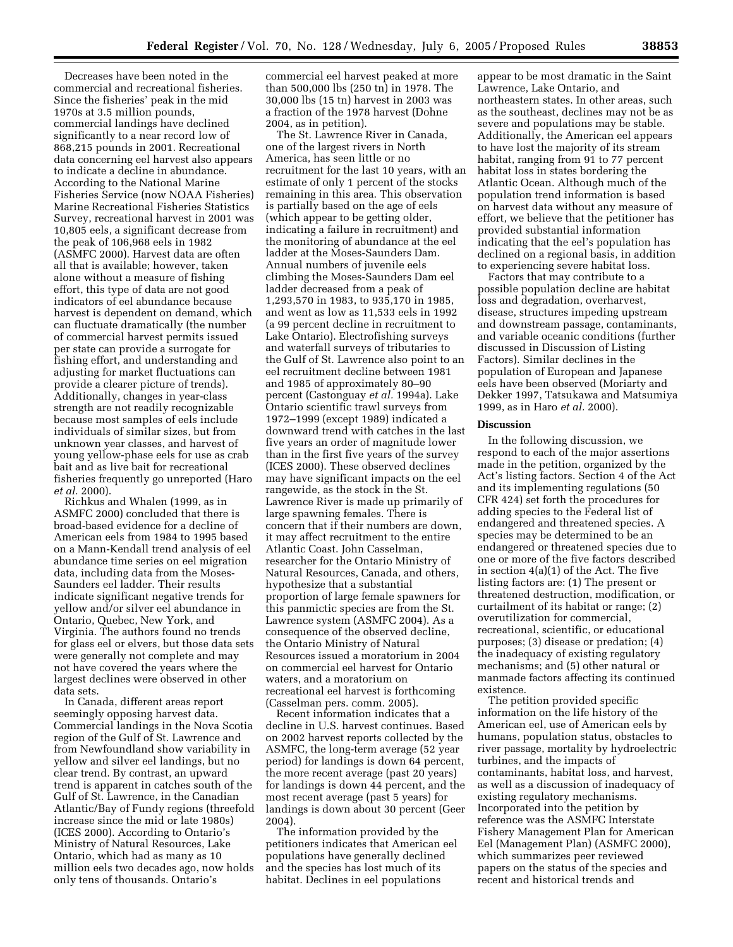Decreases have been noted in the commercial and recreational fisheries. Since the fisheries' peak in the mid 1970s at 3.5 million pounds, commercial landings have declined significantly to a near record low of 868,215 pounds in 2001. Recreational data concerning eel harvest also appears to indicate a decline in abundance. According to the National Marine Fisheries Service (now NOAA Fisheries) Marine Recreational Fisheries Statistics Survey, recreational harvest in 2001 was 10,805 eels, a significant decrease from the peak of 106,968 eels in 1982 (ASMFC 2000). Harvest data are often all that is available; however, taken alone without a measure of fishing effort, this type of data are not good indicators of eel abundance because harvest is dependent on demand, which can fluctuate dramatically (the number of commercial harvest permits issued per state can provide a surrogate for fishing effort, and understanding and adjusting for market fluctuations can provide a clearer picture of trends). Additionally, changes in year-class strength are not readily recognizable because most samples of eels include individuals of similar sizes, but from unknown year classes, and harvest of young yellow-phase eels for use as crab bait and as live bait for recreational fisheries frequently go unreported (Haro *et al.* 2000).

Richkus and Whalen (1999, as in ASMFC 2000) concluded that there is broad-based evidence for a decline of American eels from 1984 to 1995 based on a Mann-Kendall trend analysis of eel abundance time series on eel migration data, including data from the Moses-Saunders eel ladder. Their results indicate significant negative trends for yellow and/or silver eel abundance in Ontario, Quebec, New York, and Virginia. The authors found no trends for glass eel or elvers, but those data sets were generally not complete and may not have covered the years where the largest declines were observed in other data sets.

In Canada, different areas report seemingly opposing harvest data. Commercial landings in the Nova Scotia region of the Gulf of St. Lawrence and from Newfoundland show variability in yellow and silver eel landings, but no clear trend. By contrast, an upward trend is apparent in catches south of the Gulf of St. Lawrence, in the Canadian Atlantic/Bay of Fundy regions (threefold increase since the mid or late 1980s) (ICES 2000). According to Ontario's Ministry of Natural Resources, Lake Ontario, which had as many as 10 million eels two decades ago, now holds only tens of thousands. Ontario's

commercial eel harvest peaked at more than 500,000 lbs (250 tn) in 1978. The 30,000 lbs (15 tn) harvest in 2003 was a fraction of the 1978 harvest (Dohne 2004, as in petition).

The St. Lawrence River in Canada, one of the largest rivers in North America, has seen little or no recruitment for the last 10 years, with an estimate of only 1 percent of the stocks remaining in this area. This observation is partially based on the age of eels (which appear to be getting older, indicating a failure in recruitment) and the monitoring of abundance at the eel ladder at the Moses-Saunders Dam. Annual numbers of juvenile eels climbing the Moses-Saunders Dam eel ladder decreased from a peak of 1,293,570 in 1983, to 935,170 in 1985, and went as low as 11,533 eels in 1992 (a 99 percent decline in recruitment to Lake Ontario). Electrofishing surveys and waterfall surveys of tributaries to the Gulf of St. Lawrence also point to an eel recruitment decline between 1981 and 1985 of approximately 80–90 percent (Castonguay *et al.* 1994a). Lake Ontario scientific trawl surveys from 1972–1999 (except 1989) indicated a downward trend with catches in the last five years an order of magnitude lower than in the first five years of the survey (ICES 2000). These observed declines may have significant impacts on the eel rangewide, as the stock in the St. Lawrence River is made up primarily of large spawning females. There is concern that if their numbers are down, it may affect recruitment to the entire Atlantic Coast. John Casselman, researcher for the Ontario Ministry of Natural Resources, Canada, and others, hypothesize that a substantial proportion of large female spawners for this panmictic species are from the St. Lawrence system (ASMFC 2004). As a consequence of the observed decline, the Ontario Ministry of Natural Resources issued a moratorium in 2004 on commercial eel harvest for Ontario waters, and a moratorium on recreational eel harvest is forthcoming (Casselman pers. comm. 2005).

Recent information indicates that a decline in U.S. harvest continues. Based on 2002 harvest reports collected by the ASMFC, the long-term average (52 year period) for landings is down 64 percent, the more recent average (past 20 years) for landings is down 44 percent, and the most recent average (past 5 years) for landings is down about 30 percent (Geer 2004).

The information provided by the petitioners indicates that American eel populations have generally declined and the species has lost much of its habitat. Declines in eel populations

appear to be most dramatic in the Saint Lawrence, Lake Ontario, and northeastern states. In other areas, such as the southeast, declines may not be as severe and populations may be stable. Additionally, the American eel appears to have lost the majority of its stream habitat, ranging from 91 to 77 percent habitat loss in states bordering the Atlantic Ocean. Although much of the population trend information is based on harvest data without any measure of effort, we believe that the petitioner has provided substantial information indicating that the eel's population has declined on a regional basis, in addition to experiencing severe habitat loss.

Factors that may contribute to a possible population decline are habitat loss and degradation, overharvest, disease, structures impeding upstream and downstream passage, contaminants, and variable oceanic conditions (further discussed in Discussion of Listing Factors). Similar declines in the population of European and Japanese eels have been observed (Moriarty and Dekker 1997, Tatsukawa and Matsumiya 1999, as in Haro *et al.* 2000).

## **Discussion**

In the following discussion, we respond to each of the major assertions made in the petition, organized by the Act's listing factors. Section 4 of the Act and its implementing regulations (50 CFR 424) set forth the procedures for adding species to the Federal list of endangered and threatened species. A species may be determined to be an endangered or threatened species due to one or more of the five factors described in section 4(a)(1) of the Act. The five listing factors are: (1) The present or threatened destruction, modification, or curtailment of its habitat or range; (2) overutilization for commercial, recreational, scientific, or educational purposes; (3) disease or predation; (4) the inadequacy of existing regulatory mechanisms; and (5) other natural or manmade factors affecting its continued existence.

The petition provided specific information on the life history of the American eel, use of American eels by humans, population status, obstacles to river passage, mortality by hydroelectric turbines, and the impacts of contaminants, habitat loss, and harvest, as well as a discussion of inadequacy of existing regulatory mechanisms. Incorporated into the petition by reference was the ASMFC Interstate Fishery Management Plan for American Eel (Management Plan) (ASMFC 2000), which summarizes peer reviewed papers on the status of the species and recent and historical trends and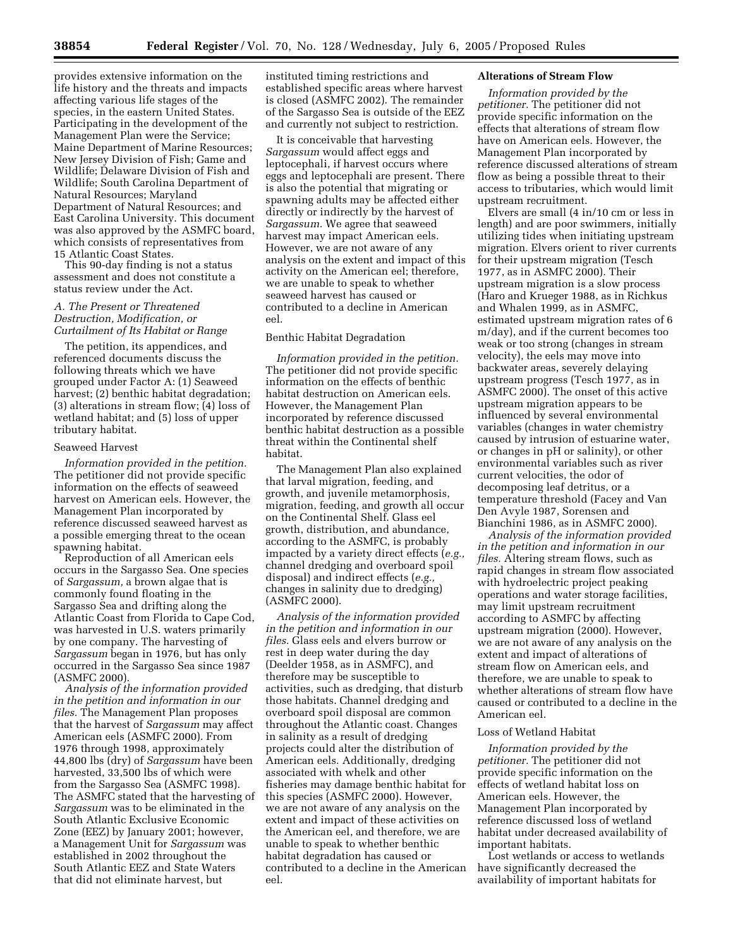provides extensive information on the life history and the threats and impacts affecting various life stages of the species, in the eastern United States. Participating in the development of the Management Plan were the Service; Maine Department of Marine Resources; New Jersey Division of Fish; Game and Wildlife; Delaware Division of Fish and Wildlife; South Carolina Department of Natural Resources; Maryland Department of Natural Resources; and East Carolina University. This document was also approved by the ASMFC board, which consists of representatives from 15 Atlantic Coast States.

This 90-day finding is not a status assessment and does not constitute a status review under the Act.

## *A. The Present or Threatened Destruction, Modification, or Curtailment of Its Habitat or Range*

The petition, its appendices, and referenced documents discuss the following threats which we have grouped under Factor A: (1) Seaweed harvest; (2) benthic habitat degradation; (3) alterations in stream flow; (4) loss of wetland habitat; and (5) loss of upper tributary habitat.

## Seaweed Harvest

*Information provided in the petition.* The petitioner did not provide specific information on the effects of seaweed harvest on American eels. However, the Management Plan incorporated by reference discussed seaweed harvest as a possible emerging threat to the ocean spawning habitat.

Reproduction of all American eels occurs in the Sargasso Sea. One species of *Sargassum,* a brown algae that is commonly found floating in the Sargasso Sea and drifting along the Atlantic Coast from Florida to Cape Cod, was harvested in U.S. waters primarily by one company. The harvesting of *Sargassum* began in 1976, but has only occurred in the Sargasso Sea since 1987 (ASMFC 2000).

*Analysis of the information provided in the petition and information in our files.* The Management Plan proposes that the harvest of *Sargassum* may affect American eels (ASMFC 2000). From 1976 through 1998, approximately 44,800 lbs (dry) of *Sargassum* have been harvested, 33,500 lbs of which were from the Sargasso Sea (ASMFC 1998). The ASMFC stated that the harvesting of *Sargassum* was to be eliminated in the South Atlantic Exclusive Economic Zone (EEZ) by January 2001; however, a Management Unit for *Sargassum* was established in 2002 throughout the South Atlantic EEZ and State Waters that did not eliminate harvest, but

instituted timing restrictions and established specific areas where harvest is closed (ASMFC 2002). The remainder of the Sargasso Sea is outside of the EEZ and currently not subject to restriction.

It is conceivable that harvesting *Sargassum* would affect eggs and leptocephali, if harvest occurs where eggs and leptocephali are present. There is also the potential that migrating or spawning adults may be affected either directly or indirectly by the harvest of *Sargassum.* We agree that seaweed harvest may impact American eels. However, we are not aware of any analysis on the extent and impact of this activity on the American eel; therefore, we are unable to speak to whether seaweed harvest has caused or contributed to a decline in American eel.

## Benthic Habitat Degradation

*Information provided in the petition.* The petitioner did not provide specific information on the effects of benthic habitat destruction on American eels. However, the Management Plan incorporated by reference discussed benthic habitat destruction as a possible threat within the Continental shelf habitat.

The Management Plan also explained that larval migration, feeding, and growth, and juvenile metamorphosis, migration, feeding, and growth all occur on the Continental Shelf. Glass eel growth, distribution, and abundance, according to the ASMFC, is probably impacted by a variety direct effects (*e.g.,* channel dredging and overboard spoil disposal) and indirect effects (*e.g.,* changes in salinity due to dredging) (ASMFC 2000).

*Analysis of the information provided in the petition and information in our files.* Glass eels and elvers burrow or rest in deep water during the day (Deelder 1958, as in ASMFC), and therefore may be susceptible to activities, such as dredging, that disturb those habitats. Channel dredging and overboard spoil disposal are common throughout the Atlantic coast. Changes in salinity as a result of dredging projects could alter the distribution of American eels. Additionally, dredging associated with whelk and other fisheries may damage benthic habitat for this species (ASMFC 2000). However, we are not aware of any analysis on the extent and impact of these activities on the American eel, and therefore, we are unable to speak to whether benthic habitat degradation has caused or contributed to a decline in the American eel.

# **Alterations of Stream Flow**

*Information provided by the petitioner.* The petitioner did not provide specific information on the effects that alterations of stream flow have on American eels. However, the Management Plan incorporated by reference discussed alterations of stream flow as being a possible threat to their access to tributaries, which would limit upstream recruitment.

Elvers are small (4 in/10 cm or less in length) and are poor swimmers, initially utilizing tides when initiating upstream migration. Elvers orient to river currents for their upstream migration (Tesch 1977, as in ASMFC 2000). Their upstream migration is a slow process (Haro and Krueger 1988, as in Richkus and Whalen 1999, as in ASMFC, estimated upstream migration rates of 6 m/day), and if the current becomes too weak or too strong (changes in stream velocity), the eels may move into backwater areas, severely delaying upstream progress (Tesch 1977, as in ASMFC 2000). The onset of this active upstream migration appears to be influenced by several environmental variables (changes in water chemistry caused by intrusion of estuarine water, or changes in pH or salinity), or other environmental variables such as river current velocities, the odor of decomposing leaf detritus, or a temperature threshold (Facey and Van Den Avyle 1987, Sorensen and Bianchini 1986, as in ASMFC 2000).

*Analysis of the information provided in the petition and information in our files.* Altering stream flows, such as rapid changes in stream flow associated with hydroelectric project peaking operations and water storage facilities, may limit upstream recruitment according to ASMFC by affecting upstream migration (2000). However, we are not aware of any analysis on the extent and impact of alterations of stream flow on American eels, and therefore, we are unable to speak to whether alterations of stream flow have caused or contributed to a decline in the American eel.

## Loss of Wetland Habitat

*Information provided by the petitioner.* The petitioner did not provide specific information on the effects of wetland habitat loss on American eels. However, the Management Plan incorporated by reference discussed loss of wetland habitat under decreased availability of important habitats.

Lost wetlands or access to wetlands have significantly decreased the availability of important habitats for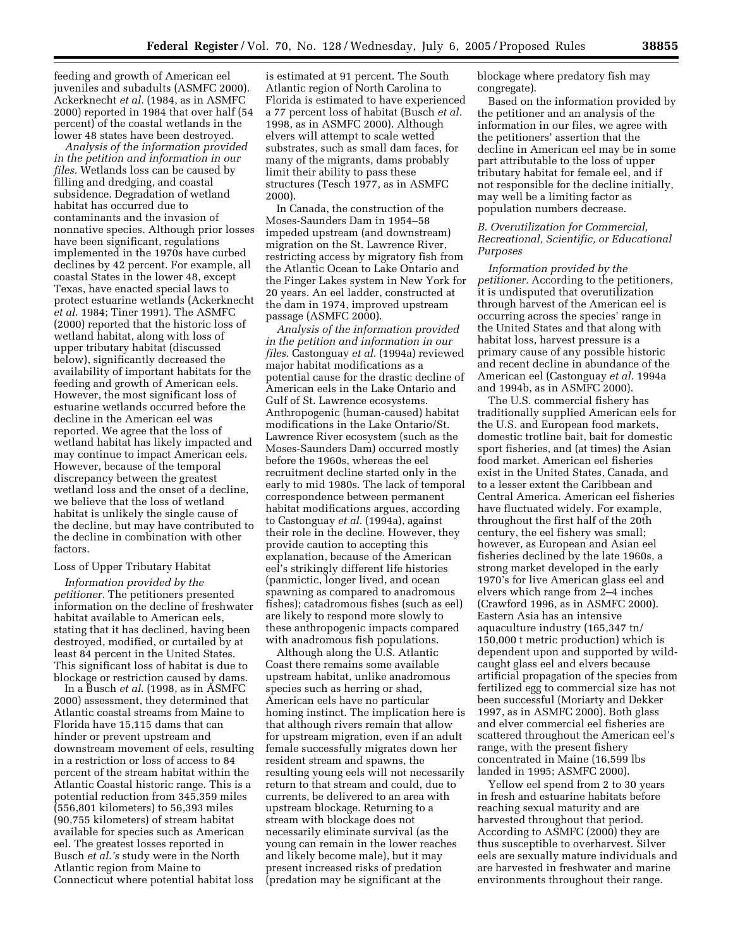feeding and growth of American eel juveniles and subadults (ASMFC 2000). Ackerknecht *et al.* (1984, as in ASMFC 2000) reported in 1984 that over half (54 percent) of the coastal wetlands in the lower 48 states have been destroyed.

*Analysis of the information provided in the petition and information in our files.* Wetlands loss can be caused by filling and dredging, and coastal subsidence. Degradation of wetland habitat has occurred due to contaminants and the invasion of nonnative species. Although prior losses have been significant, regulations implemented in the 1970s have curbed declines by 42 percent. For example, all coastal States in the lower 48, except Texas, have enacted special laws to protect estuarine wetlands (Ackerknecht *et al.* 1984; Tiner 1991). The ASMFC (2000) reported that the historic loss of wetland habitat, along with loss of upper tributary habitat (discussed below), significantly decreased the availability of important habitats for the feeding and growth of American eels. However, the most significant loss of estuarine wetlands occurred before the decline in the American eel was reported. We agree that the loss of wetland habitat has likely impacted and may continue to impact American eels. However, because of the temporal discrepancy between the greatest wetland loss and the onset of a decline, we believe that the loss of wetland habitat is unlikely the single cause of the decline, but may have contributed to the decline in combination with other factors.

## Loss of Upper Tributary Habitat

*Information provided by the petitioner.* The petitioners presented information on the decline of freshwater habitat available to American eels, stating that it has declined, having been destroyed, modified, or curtailed by at least 84 percent in the United States. This significant loss of habitat is due to blockage or restriction caused by dams.

In a Busch *et al.* (1998, as in ASMFC 2000) assessment, they determined that Atlantic coastal streams from Maine to Florida have 15,115 dams that can hinder or prevent upstream and downstream movement of eels, resulting in a restriction or loss of access to 84 percent of the stream habitat within the Atlantic Coastal historic range. This is a potential reduction from 345,359 miles (556,801 kilometers) to 56,393 miles (90,755 kilometers) of stream habitat available for species such as American eel. The greatest losses reported in Busch *et al.'s* study were in the North Atlantic region from Maine to Connecticut where potential habitat loss

is estimated at 91 percent. The South Atlantic region of North Carolina to Florida is estimated to have experienced a 77 percent loss of habitat (Busch *et al.* 1998, as in ASMFC 2000). Although elvers will attempt to scale wetted substrates, such as small dam faces, for many of the migrants, dams probably limit their ability to pass these structures (Tesch 1977, as in ASMFC 2000).

In Canada, the construction of the Moses-Saunders Dam in 1954–58 impeded upstream (and downstream) migration on the St. Lawrence River, restricting access by migratory fish from the Atlantic Ocean to Lake Ontario and the Finger Lakes system in New York for 20 years. An eel ladder, constructed at the dam in 1974, improved upstream passage (ASMFC 2000).

*Analysis of the information provided in the petition and information in our files.* Castonguay *et al.* (1994a) reviewed major habitat modifications as a potential cause for the drastic decline of American eels in the Lake Ontario and Gulf of St. Lawrence ecosystems. Anthropogenic (human-caused) habitat modifications in the Lake Ontario/St. Lawrence River ecosystem (such as the Moses-Saunders Dam) occurred mostly before the 1960s, whereas the eel recruitment decline started only in the early to mid 1980s. The lack of temporal correspondence between permanent habitat modifications argues, according to Castonguay *et al.* (1994a), against their role in the decline. However, they provide caution to accepting this explanation, because of the American eel's strikingly different life histories (panmictic, longer lived, and ocean spawning as compared to anadromous fishes); catadromous fishes (such as eel) are likely to respond more slowly to these anthropogenic impacts compared with anadromous fish populations.

Although along the U.S. Atlantic Coast there remains some available upstream habitat, unlike anadromous species such as herring or shad, American eels have no particular homing instinct. The implication here is that although rivers remain that allow for upstream migration, even if an adult female successfully migrates down her resident stream and spawns, the resulting young eels will not necessarily return to that stream and could, due to currents, be delivered to an area with upstream blockage. Returning to a stream with blockage does not necessarily eliminate survival (as the young can remain in the lower reaches and likely become male), but it may present increased risks of predation (predation may be significant at the

blockage where predatory fish may congregate).

Based on the information provided by the petitioner and an analysis of the information in our files, we agree with the petitioners' assertion that the decline in American eel may be in some part attributable to the loss of upper tributary habitat for female eel, and if not responsible for the decline initially, may well be a limiting factor as population numbers decrease.

## *B. Overutilization for Commercial, Recreational, Scientific, or Educational Purposes*

*Information provided by the petitioner.* According to the petitioners, it is undisputed that overutilization through harvest of the American eel is occurring across the species' range in the United States and that along with habitat loss, harvest pressure is a primary cause of any possible historic and recent decline in abundance of the American eel (Castonguay *et al.* 1994a and 1994b, as in ASMFC 2000).

The U.S. commercial fishery has traditionally supplied American eels for the U.S. and European food markets, domestic trotline bait, bait for domestic sport fisheries, and (at times) the Asian food market. American eel fisheries exist in the United States, Canada, and to a lesser extent the Caribbean and Central America. American eel fisheries have fluctuated widely. For example, throughout the first half of the 20th century, the eel fishery was small; however, as European and Asian eel fisheries declined by the late 1960s, a strong market developed in the early 1970's for live American glass eel and elvers which range from 2–4 inches (Crawford 1996, as in ASMFC 2000). Eastern Asia has an intensive aquaculture industry (165,347 tn/ 150,000 t metric production) which is dependent upon and supported by wildcaught glass eel and elvers because artificial propagation of the species from fertilized egg to commercial size has not been successful (Moriarty and Dekker 1997, as in ASMFC 2000). Both glass and elver commercial eel fisheries are scattered throughout the American eel's range, with the present fishery concentrated in Maine (16,599 lbs landed in 1995; ASMFC 2000).

Yellow eel spend from 2 to 30 years in fresh and estuarine habitats before reaching sexual maturity and are harvested throughout that period. According to ASMFC (2000) they are thus susceptible to overharvest. Silver eels are sexually mature individuals and are harvested in freshwater and marine environments throughout their range.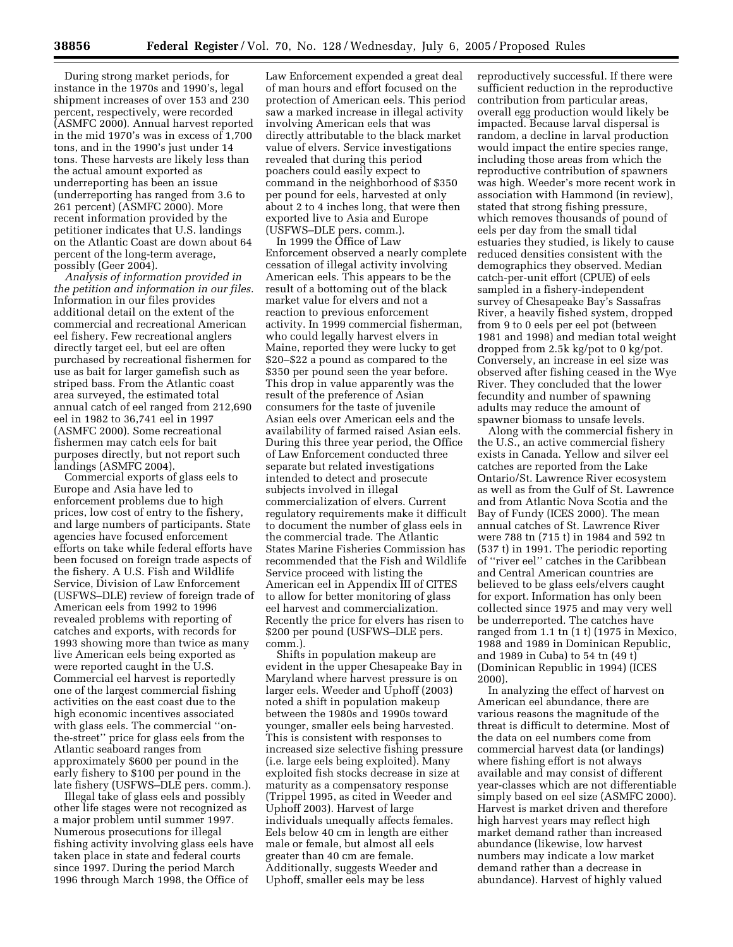During strong market periods, for instance in the 1970s and 1990's, legal shipment increases of over 153 and 230 percent, respectively, were recorded (ASMFC 2000). Annual harvest reported in the mid 1970's was in excess of 1,700 tons, and in the 1990's just under 14 tons. These harvests are likely less than the actual amount exported as underreporting has been an issue (underreporting has ranged from 3.6 to 261 percent) (ASMFC 2000). More recent information provided by the petitioner indicates that U.S. landings on the Atlantic Coast are down about 64 percent of the long-term average, possibly (Geer 2004).

*Analysis of information provided in the petition and information in our files.* Information in our files provides additional detail on the extent of the commercial and recreational American eel fishery. Few recreational anglers directly target eel, but eel are often purchased by recreational fishermen for use as bait for larger gamefish such as striped bass. From the Atlantic coast area surveyed, the estimated total annual catch of eel ranged from 212,690 eel in 1982 to 36,741 eel in 1997 (ASMFC 2000). Some recreational fishermen may catch eels for bait purposes directly, but not report such landings (ASMFC 2004).

Commercial exports of glass eels to Europe and Asia have led to enforcement problems due to high prices, low cost of entry to the fishery, and large numbers of participants. State agencies have focused enforcement efforts on take while federal efforts have been focused on foreign trade aspects of the fishery. A U.S. Fish and Wildlife Service, Division of Law Enforcement (USFWS–DLE) review of foreign trade of American eels from 1992 to 1996 revealed problems with reporting of catches and exports, with records for 1993 showing more than twice as many live American eels being exported as were reported caught in the U.S. Commercial eel harvest is reportedly one of the largest commercial fishing activities on the east coast due to the high economic incentives associated with glass eels. The commercial ''onthe-street'' price for glass eels from the Atlantic seaboard ranges from approximately \$600 per pound in the early fishery to \$100 per pound in the late fishery (USFWS–DLE pers. comm.).

Illegal take of glass eels and possibly other life stages were not recognized as a major problem until summer 1997. Numerous prosecutions for illegal fishing activity involving glass eels have taken place in state and federal courts since 1997. During the period March 1996 through March 1998, the Office of

Law Enforcement expended a great deal of man hours and effort focused on the protection of American eels. This period saw a marked increase in illegal activity involving American eels that was directly attributable to the black market value of elvers. Service investigations revealed that during this period poachers could easily expect to command in the neighborhood of \$350 per pound for eels, harvested at only about 2 to 4 inches long, that were then exported live to Asia and Europe (USFWS–DLE pers. comm.).

In 1999 the Office of Law Enforcement observed a nearly complete cessation of illegal activity involving American eels. This appears to be the result of a bottoming out of the black market value for elvers and not a reaction to previous enforcement activity. In 1999 commercial fisherman, who could legally harvest elvers in Maine, reported they were lucky to get \$20–\$22 a pound as compared to the \$350 per pound seen the year before. This drop in value apparently was the result of the preference of Asian consumers for the taste of juvenile Asian eels over American eels and the availability of farmed raised Asian eels. During this three year period, the Office of Law Enforcement conducted three separate but related investigations intended to detect and prosecute subjects involved in illegal commercialization of elvers. Current regulatory requirements make it difficult to document the number of glass eels in the commercial trade. The Atlantic States Marine Fisheries Commission has recommended that the Fish and Wildlife Service proceed with listing the American eel in Appendix III of CITES to allow for better monitoring of glass eel harvest and commercialization. Recently the price for elvers has risen to \$200 per pound (USFWS–DLE pers. comm.).

Shifts in population makeup are evident in the upper Chesapeake Bay in Maryland where harvest pressure is on larger eels. Weeder and Uphoff (2003) noted a shift in population makeup between the 1980s and 1990s toward younger, smaller eels being harvested. This is consistent with responses to increased size selective fishing pressure (i.e. large eels being exploited). Many exploited fish stocks decrease in size at maturity as a compensatory response (Trippel 1995, as cited in Weeder and Uphoff 2003). Harvest of large individuals unequally affects females. Eels below 40 cm in length are either male or female, but almost all eels greater than 40 cm are female. Additionally, suggests Weeder and Uphoff, smaller eels may be less

reproductively successful. If there were sufficient reduction in the reproductive contribution from particular areas, overall egg production would likely be impacted. Because larval dispersal is random, a decline in larval production would impact the entire species range, including those areas from which the reproductive contribution of spawners was high. Weeder's more recent work in association with Hammond (in review), stated that strong fishing pressure, which removes thousands of pound of eels per day from the small tidal estuaries they studied, is likely to cause reduced densities consistent with the demographics they observed. Median catch-per-unit effort (CPUE) of eels sampled in a fishery-independent survey of Chesapeake Bay's Sassafras River, a heavily fished system, dropped from 9 to 0 eels per eel pot (between 1981 and 1998) and median total weight dropped from 2.5k kg/pot to 0 kg/pot. Conversely, an increase in eel size was observed after fishing ceased in the Wye River. They concluded that the lower fecundity and number of spawning adults may reduce the amount of spawner biomass to unsafe levels.

Along with the commercial fishery in the U.S., an active commercial fishery exists in Canada. Yellow and silver eel catches are reported from the Lake Ontario/St. Lawrence River ecosystem as well as from the Gulf of St. Lawrence and from Atlantic Nova Scotia and the Bay of Fundy (ICES 2000). The mean annual catches of St. Lawrence River were 788 tn (715 t) in 1984 and 592 tn (537 t) in 1991. The periodic reporting of ''river eel'' catches in the Caribbean and Central American countries are believed to be glass eels/elvers caught for export. Information has only been collected since 1975 and may very well be underreported. The catches have ranged from 1.1 tn (1 t) (1975 in Mexico, 1988 and 1989 in Dominican Republic, and 1989 in Cuba) to 54 tn (49 t) (Dominican Republic in 1994) (ICES 2000).

In analyzing the effect of harvest on American eel abundance, there are various reasons the magnitude of the threat is difficult to determine. Most of the data on eel numbers come from commercial harvest data (or landings) where fishing effort is not always available and may consist of different year-classes which are not differentiable simply based on eel size (ASMFC 2000). Harvest is market driven and therefore high harvest years may reflect high market demand rather than increased abundance (likewise, low harvest numbers may indicate a low market demand rather than a decrease in abundance). Harvest of highly valued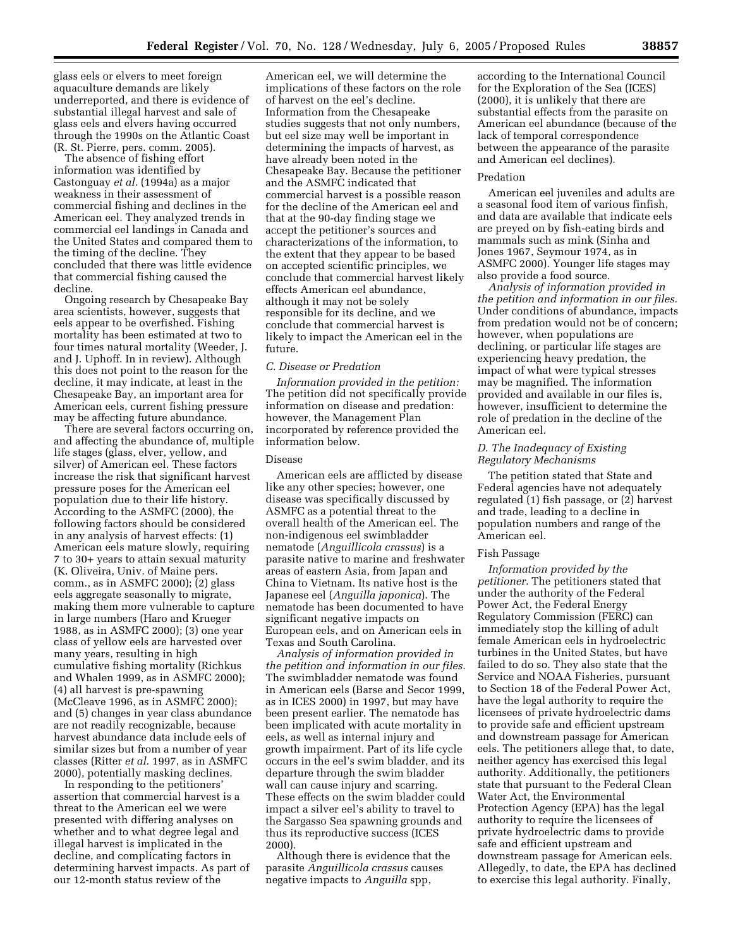glass eels or elvers to meet foreign aquaculture demands are likely underreported, and there is evidence of substantial illegal harvest and sale of glass eels and elvers having occurred through the 1990s on the Atlantic Coast (R. St. Pierre, pers. comm. 2005).

The absence of fishing effort information was identified by Castonguay *et al.* (1994a) as a major weakness in their assessment of commercial fishing and declines in the American eel. They analyzed trends in commercial eel landings in Canada and the United States and compared them to the timing of the decline. They concluded that there was little evidence that commercial fishing caused the decline.

Ongoing research by Chesapeake Bay area scientists, however, suggests that eels appear to be overfished. Fishing mortality has been estimated at two to four times natural mortality (Weeder, J. and J. Uphoff. In in review). Although this does not point to the reason for the decline, it may indicate, at least in the Chesapeake Bay, an important area for American eels, current fishing pressure may be affecting future abundance.

There are several factors occurring on, and affecting the abundance of, multiple life stages (glass, elver, yellow, and silver) of American eel. These factors increase the risk that significant harvest pressure poses for the American eel population due to their life history. According to the ASMFC (2000), the following factors should be considered in any analysis of harvest effects: (1) American eels mature slowly, requiring 7 to 30+ years to attain sexual maturity (K. Oliveira, Univ. of Maine pers. comm., as in ASMFC 2000); (2) glass eels aggregate seasonally to migrate, making them more vulnerable to capture in large numbers (Haro and Krueger 1988, as in ASMFC 2000); (3) one year class of yellow eels are harvested over many years, resulting in high cumulative fishing mortality (Richkus and Whalen 1999, as in ASMFC 2000); (4) all harvest is pre-spawning (McCleave 1996, as in ASMFC 2000); and (5) changes in year class abundance are not readily recognizable, because harvest abundance data include eels of similar sizes but from a number of year classes (Ritter *et al.* 1997, as in ASMFC 2000), potentially masking declines.

In responding to the petitioners' assertion that commercial harvest is a threat to the American eel we were presented with differing analyses on whether and to what degree legal and illegal harvest is implicated in the decline, and complicating factors in determining harvest impacts. As part of our 12-month status review of the

American eel, we will determine the implications of these factors on the role of harvest on the eel's decline. Information from the Chesapeake studies suggests that not only numbers, but eel size may well be important in determining the impacts of harvest, as have already been noted in the Chesapeake Bay. Because the petitioner and the ASMFC indicated that commercial harvest is a possible reason for the decline of the American eel and that at the 90-day finding stage we accept the petitioner's sources and characterizations of the information, to the extent that they appear to be based on accepted scientific principles, we conclude that commercial harvest likely effects American eel abundance, although it may not be solely responsible for its decline, and we conclude that commercial harvest is likely to impact the American eel in the future.

## *C. Disease or Predation*

*Information provided in the petition:* The petition did not specifically provide information on disease and predation: however, the Management Plan incorporated by reference provided the information below.

## Disease

American eels are afflicted by disease like any other species; however, one disease was specifically discussed by ASMFC as a potential threat to the overall health of the American eel. The non-indigenous eel swimbladder nematode (*Anguillicola crassus*) is a parasite native to marine and freshwater areas of eastern Asia, from Japan and China to Vietnam. Its native host is the Japanese eel (*Anguilla japonica*). The nematode has been documented to have significant negative impacts on European eels, and on American eels in Texas and South Carolina.

*Analysis of information provided in the petition and information in our files.* The swimbladder nematode was found in American eels (Barse and Secor 1999, as in ICES 2000) in 1997, but may have been present earlier. The nematode has been implicated with acute mortality in eels, as well as internal injury and growth impairment. Part of its life cycle occurs in the eel's swim bladder, and its departure through the swim bladder wall can cause injury and scarring. These effects on the swim bladder could impact a silver eel's ability to travel to the Sargasso Sea spawning grounds and thus its reproductive success (ICES 2000).

Although there is evidence that the parasite *Anguillicola crassus* causes negative impacts to *Anguilla* spp,

according to the International Council for the Exploration of the Sea (ICES) (2000), it is unlikely that there are substantial effects from the parasite on American eel abundance (because of the lack of temporal correspondence between the appearance of the parasite and American eel declines).

## Predation

American eel juveniles and adults are a seasonal food item of various finfish, and data are available that indicate eels are preyed on by fish-eating birds and mammals such as mink (Sinha and Jones 1967, Seymour 1974, as in ASMFC 2000). Younger life stages may also provide a food source.

*Analysis of information provided in the petition and information in our files.* Under conditions of abundance, impacts from predation would not be of concern; however, when populations are declining, or particular life stages are experiencing heavy predation, the impact of what were typical stresses may be magnified. The information provided and available in our files is, however, insufficient to determine the role of predation in the decline of the American eel.

## *D. The Inadequacy of Existing Regulatory Mechanisms*

The petition stated that State and Federal agencies have not adequately regulated (1) fish passage, or (2) harvest and trade, leading to a decline in population numbers and range of the American eel.

## Fish Passage

*Information provided by the petitioner.* The petitioners stated that under the authority of the Federal Power Act, the Federal Energy Regulatory Commission (FERC) can immediately stop the killing of adult female American eels in hydroelectric turbines in the United States, but have failed to do so. They also state that the Service and NOAA Fisheries, pursuant to Section 18 of the Federal Power Act, have the legal authority to require the licensees of private hydroelectric dams to provide safe and efficient upstream and downstream passage for American eels. The petitioners allege that, to date, neither agency has exercised this legal authority. Additionally, the petitioners state that pursuant to the Federal Clean Water Act, the Environmental Protection Agency (EPA) has the legal authority to require the licensees of private hydroelectric dams to provide safe and efficient upstream and downstream passage for American eels. Allegedly, to date, the EPA has declined to exercise this legal authority. Finally,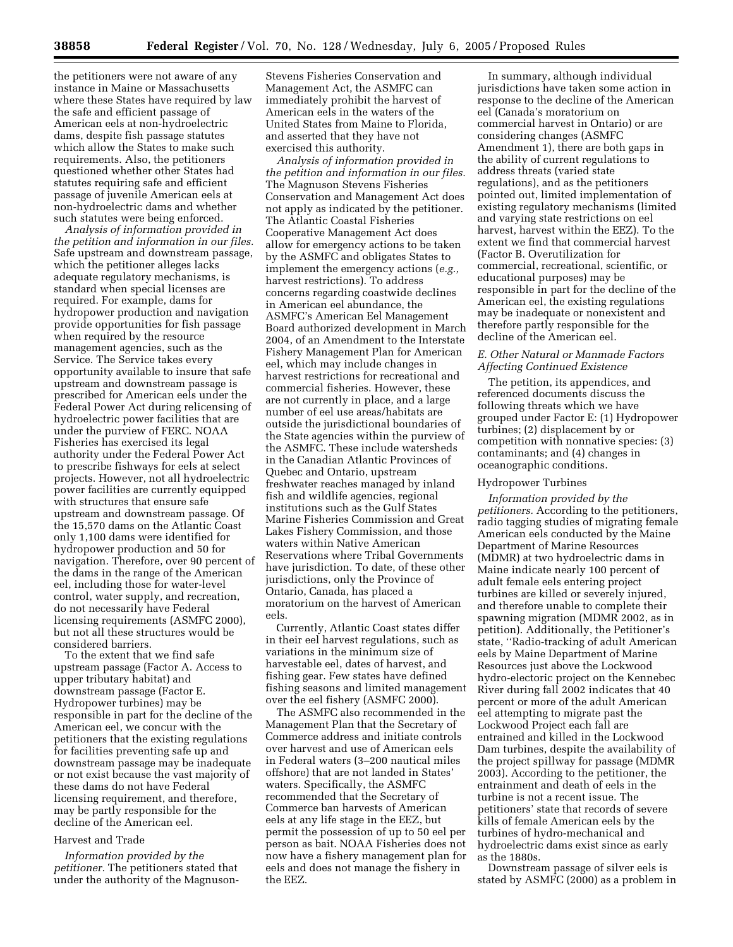the petitioners were not aware of any instance in Maine or Massachusetts where these States have required by law the safe and efficient passage of American eels at non-hydroelectric dams, despite fish passage statutes which allow the States to make such requirements. Also, the petitioners questioned whether other States had statutes requiring safe and efficient passage of juvenile American eels at non-hydroelectric dams and whether such statutes were being enforced.

*Analysis of information provided in the petition and information in our files.* Safe upstream and downstream passage, which the petitioner alleges lacks adequate regulatory mechanisms, is standard when special licenses are required. For example, dams for hydropower production and navigation provide opportunities for fish passage when required by the resource management agencies, such as the Service. The Service takes every opportunity available to insure that safe upstream and downstream passage is prescribed for American eels under the Federal Power Act during relicensing of hydroelectric power facilities that are under the purview of FERC. NOAA Fisheries has exercised its legal authority under the Federal Power Act to prescribe fishways for eels at select projects. However, not all hydroelectric power facilities are currently equipped with structures that ensure safe upstream and downstream passage. Of the 15,570 dams on the Atlantic Coast only 1,100 dams were identified for hydropower production and 50 for navigation. Therefore, over 90 percent of the dams in the range of the American eel, including those for water-level control, water supply, and recreation, do not necessarily have Federal licensing requirements (ASMFC 2000), but not all these structures would be considered barriers.

To the extent that we find safe upstream passage (Factor A. Access to upper tributary habitat) and downstream passage (Factor E. Hydropower turbines) may be responsible in part for the decline of the American eel, we concur with the petitioners that the existing regulations for facilities preventing safe up and downstream passage may be inadequate or not exist because the vast majority of these dams do not have Federal licensing requirement, and therefore, may be partly responsible for the decline of the American eel.

## Harvest and Trade

*Information provided by the petitioner.* The petitioners stated that under the authority of the MagnusonStevens Fisheries Conservation and Management Act, the ASMFC can immediately prohibit the harvest of American eels in the waters of the United States from Maine to Florida, and asserted that they have not exercised this authority.

*Analysis of information provided in the petition and information in our files.* The Magnuson Stevens Fisheries Conservation and Management Act does not apply as indicated by the petitioner. The Atlantic Coastal Fisheries Cooperative Management Act does allow for emergency actions to be taken by the ASMFC and obligates States to implement the emergency actions (*e.g.,* harvest restrictions). To address concerns regarding coastwide declines in American eel abundance, the ASMFC's American Eel Management Board authorized development in March 2004, of an Amendment to the Interstate Fishery Management Plan for American eel, which may include changes in harvest restrictions for recreational and commercial fisheries. However, these are not currently in place, and a large number of eel use areas/habitats are outside the jurisdictional boundaries of the State agencies within the purview of the ASMFC. These include watersheds in the Canadian Atlantic Provinces of Quebec and Ontario, upstream freshwater reaches managed by inland fish and wildlife agencies, regional institutions such as the Gulf States Marine Fisheries Commission and Great Lakes Fishery Commission, and those waters within Native American Reservations where Tribal Governments have jurisdiction. To date, of these other jurisdictions, only the Province of Ontario, Canada, has placed a moratorium on the harvest of American eels.

Currently, Atlantic Coast states differ in their eel harvest regulations, such as variations in the minimum size of harvestable eel, dates of harvest, and fishing gear. Few states have defined fishing seasons and limited management over the eel fishery (ASMFC 2000).

The ASMFC also recommended in the Management Plan that the Secretary of Commerce address and initiate controls over harvest and use of American eels in Federal waters (3–200 nautical miles offshore) that are not landed in States' waters. Specifically, the ASMFC recommended that the Secretary of Commerce ban harvests of American eels at any life stage in the EEZ, but permit the possession of up to 50 eel per person as bait. NOAA Fisheries does not now have a fishery management plan for eels and does not manage the fishery in the EEZ.

In summary, although individual jurisdictions have taken some action in response to the decline of the American eel (Canada's moratorium on commercial harvest in Ontario) or are considering changes (ASMFC Amendment 1), there are both gaps in the ability of current regulations to address threats (varied state regulations), and as the petitioners pointed out, limited implementation of existing regulatory mechanisms (limited and varying state restrictions on eel harvest, harvest within the EEZ). To the extent we find that commercial harvest (Factor B. Overutilization for commercial, recreational, scientific, or educational purposes) may be responsible in part for the decline of the American eel, the existing regulations may be inadequate or nonexistent and therefore partly responsible for the decline of the American eel.

## *E. Other Natural or Manmade Factors Affecting Continued Existence*

The petition, its appendices, and referenced documents discuss the following threats which we have grouped under Factor E: (1) Hydropower turbines; (2) displacement by or competition with nonnative species: (3) contaminants; and (4) changes in oceanographic conditions.

#### Hydropower Turbines

*Information provided by the petitioners.* According to the petitioners, radio tagging studies of migrating female American eels conducted by the Maine Department of Marine Resources (MDMR) at two hydroelectric dams in Maine indicate nearly 100 percent of adult female eels entering project turbines are killed or severely injured, and therefore unable to complete their spawning migration (MDMR 2002, as in petition). Additionally, the Petitioner's state, ''Radio-tracking of adult American eels by Maine Department of Marine Resources just above the Lockwood hydro-electoric project on the Kennebec River during fall 2002 indicates that 40 percent or more of the adult American eel attempting to migrate past the Lockwood Project each fall are entrained and killed in the Lockwood Dam turbines, despite the availability of the project spillway for passage (MDMR 2003). According to the petitioner, the entrainment and death of eels in the turbine is not a recent issue. The petitioners' state that records of severe kills of female American eels by the turbines of hydro-mechanical and hydroelectric dams exist since as early as the 1880s.

Downstream passage of silver eels is stated by ASMFC (2000) as a problem in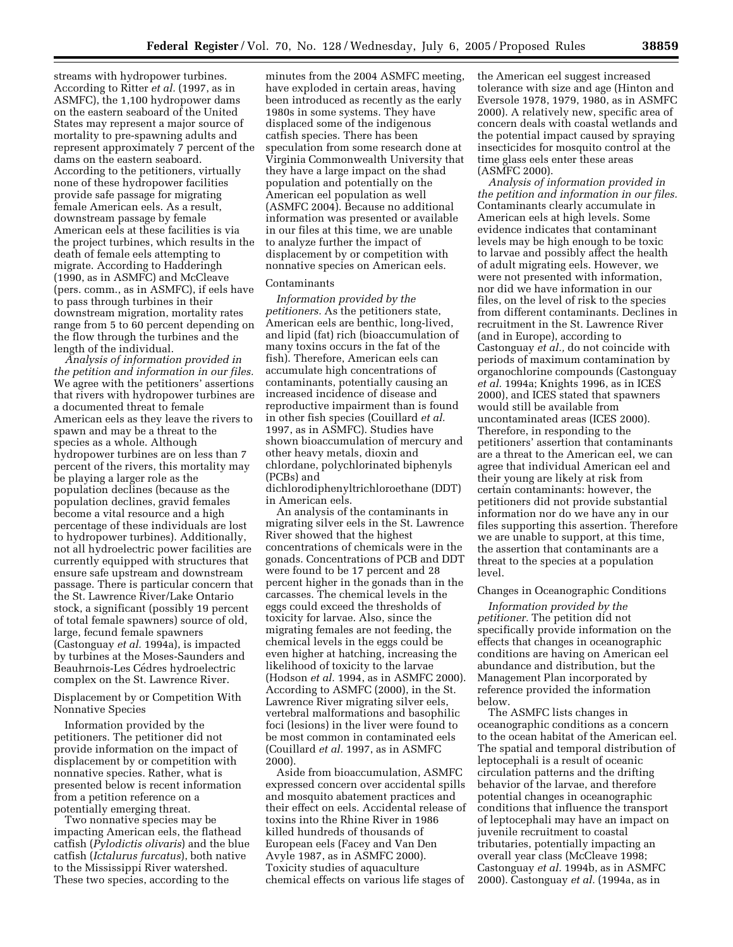streams with hydropower turbines. According to Ritter *et al.* (1997, as in ASMFC), the 1,100 hydropower dams on the eastern seaboard of the United States may represent a major source of mortality to pre-spawning adults and represent approximately 7 percent of the dams on the eastern seaboard. According to the petitioners, virtually none of these hydropower facilities provide safe passage for migrating female American eels. As a result, downstream passage by female American eels at these facilities is via the project turbines, which results in the death of female eels attempting to migrate. According to Hadderingh (1990, as in ASMFC) and McCleave (pers. comm., as in ASMFC), if eels have to pass through turbines in their downstream migration, mortality rates range from 5 to 60 percent depending on the flow through the turbines and the length of the individual.

*Analysis of information provided in the petition and information in our files.* We agree with the petitioners' assertions that rivers with hydropower turbines are a documented threat to female American eels as they leave the rivers to spawn and may be a threat to the species as a whole. Although hydropower turbines are on less than 7 percent of the rivers, this mortality may be playing a larger role as the population declines (because as the population declines, gravid females become a vital resource and a high percentage of these individuals are lost to hydropower turbines). Additionally, not all hydroelectric power facilities are currently equipped with structures that ensure safe upstream and downstream passage. There is particular concern that the St. Lawrence River/Lake Ontario stock, a significant (possibly 19 percent of total female spawners) source of old, large, fecund female spawners (Castonguay *et al.* 1994a), is impacted by turbines at the Moses-Saunders and Beauhrnois-Les Cédres hydroelectric complex on the St. Lawrence River.

Displacement by or Competition With Nonnative Species

Information provided by the petitioners. The petitioner did not provide information on the impact of displacement by or competition with nonnative species. Rather, what is presented below is recent information from a petition reference on a potentially emerging threat.

Two nonnative species may be impacting American eels, the flathead catfish (*Pylodictis olivaris*) and the blue catfish (*Ictalurus furcatus*), both native to the Mississippi River watershed. These two species, according to the

minutes from the 2004 ASMFC meeting, have exploded in certain areas, having been introduced as recently as the early 1980s in some systems. They have displaced some of the indigenous catfish species. There has been speculation from some research done at Virginia Commonwealth University that they have a large impact on the shad population and potentially on the American eel population as well (ASMFC 2004). Because no additional information was presented or available in our files at this time, we are unable to analyze further the impact of displacement by or competition with nonnative species on American eels.

## Contaminants

*Information provided by the petitioners.* As the petitioners state, American eels are benthic, long-lived, and lipid (fat) rich (bioaccumulation of many toxins occurs in the fat of the fish). Therefore, American eels can accumulate high concentrations of contaminants, potentially causing an increased incidence of disease and reproductive impairment than is found in other fish species (Couillard *et al.* 1997, as in ASMFC). Studies have shown bioaccumulation of mercury and other heavy metals, dioxin and chlordane, polychlorinated biphenyls (PCBs) and

dichlorodiphenyltrichloroethane (DDT) in American eels.

An analysis of the contaminants in migrating silver eels in the St. Lawrence River showed that the highest concentrations of chemicals were in the gonads. Concentrations of PCB and DDT were found to be 17 percent and 28 percent higher in the gonads than in the carcasses. The chemical levels in the eggs could exceed the thresholds of toxicity for larvae. Also, since the migrating females are not feeding, the chemical levels in the eggs could be even higher at hatching, increasing the likelihood of toxicity to the larvae (Hodson *et al.* 1994, as in ASMFC 2000). According to ASMFC (2000), in the St. Lawrence River migrating silver eels, vertebral malformations and basophilic foci (lesions) in the liver were found to be most common in contaminated eels (Couillard *et al.* 1997, as in ASMFC 2000).

Aside from bioaccumulation, ASMFC expressed concern over accidental spills and mosquito abatement practices and their effect on eels. Accidental release of toxins into the Rhine River in 1986 killed hundreds of thousands of European eels (Facey and Van Den Avyle 1987, as in ASMFC 2000). Toxicity studies of aquaculture chemical effects on various life stages of

the American eel suggest increased tolerance with size and age (Hinton and Eversole 1978, 1979, 1980, as in ASMFC 2000). A relatively new, specific area of concern deals with coastal wetlands and the potential impact caused by spraying insecticides for mosquito control at the time glass eels enter these areas (ASMFC 2000).

*Analysis of information provided in the petition and information in our files.* Contaminants clearly accumulate in American eels at high levels. Some evidence indicates that contaminant levels may be high enough to be toxic to larvae and possibly affect the health of adult migrating eels. However, we were not presented with information, nor did we have information in our files, on the level of risk to the species from different contaminants. Declines in recruitment in the St. Lawrence River (and in Europe), according to Castonguay *et al.,* do not coincide with periods of maximum contamination by organochlorine compounds (Castonguay *et al.* 1994a; Knights 1996, as in ICES 2000), and ICES stated that spawners would still be available from uncontaminated areas (ICES 2000). Therefore, in responding to the petitioners' assertion that contaminants are a threat to the American eel, we can agree that individual American eel and their young are likely at risk from certain contaminants: however, the petitioners did not provide substantial information nor do we have any in our files supporting this assertion. Therefore we are unable to support, at this time, the assertion that contaminants are a threat to the species at a population level.

#### Changes in Oceanographic Conditions

*Information provided by the petitioner.* The petition did not specifically provide information on the effects that changes in oceanographic conditions are having on American eel abundance and distribution, but the Management Plan incorporated by reference provided the information below.

The ASMFC lists changes in oceanographic conditions as a concern to the ocean habitat of the American eel. The spatial and temporal distribution of leptocephali is a result of oceanic circulation patterns and the drifting behavior of the larvae, and therefore potential changes in oceanographic conditions that influence the transport of leptocephali may have an impact on juvenile recruitment to coastal tributaries, potentially impacting an overall year class (McCleave 1998; Castonguay *et al.* 1994b, as in ASMFC 2000). Castonguay *et al.* (1994a, as in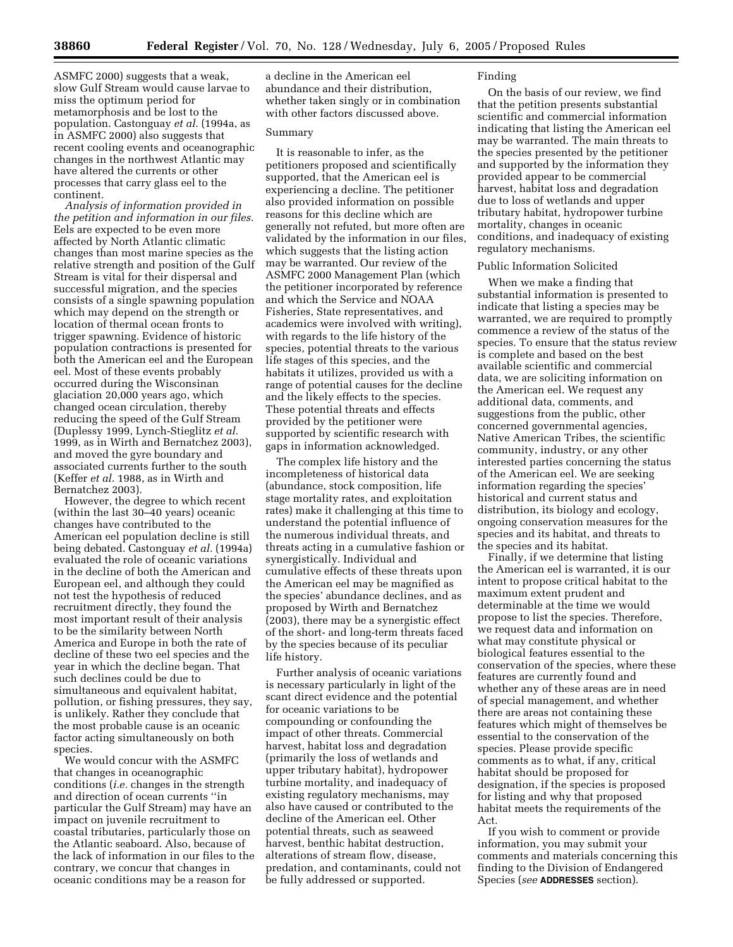ASMFC 2000) suggests that a weak, slow Gulf Stream would cause larvae to miss the optimum period for metamorphosis and be lost to the population. Castonguay *et al.* (1994a, as in ASMFC 2000) also suggests that recent cooling events and oceanographic changes in the northwest Atlantic may have altered the currents or other processes that carry glass eel to the continent.

*Analysis of information provided in the petition and information in our files.* Eels are expected to be even more affected by North Atlantic climatic changes than most marine species as the relative strength and position of the Gulf Stream is vital for their dispersal and successful migration, and the species consists of a single spawning population which may depend on the strength or location of thermal ocean fronts to trigger spawning. Evidence of historic population contractions is presented for both the American eel and the European eel. Most of these events probably occurred during the Wisconsinan glaciation 20,000 years ago, which changed ocean circulation, thereby reducing the speed of the Gulf Stream (Duplessy 1999, Lynch-Stieglitz *et al.* 1999, as in Wirth and Bernatchez 2003), and moved the gyre boundary and associated currents further to the south (Keffer *et al.* 1988, as in Wirth and Bernatchez 2003).

However, the degree to which recent (within the last 30–40 years) oceanic changes have contributed to the American eel population decline is still being debated. Castonguay *et al.* (1994a) evaluated the role of oceanic variations in the decline of both the American and European eel, and although they could not test the hypothesis of reduced recruitment directly, they found the most important result of their analysis to be the similarity between North America and Europe in both the rate of decline of these two eel species and the year in which the decline began. That such declines could be due to simultaneous and equivalent habitat, pollution, or fishing pressures, they say, is unlikely. Rather they conclude that the most probable cause is an oceanic factor acting simultaneously on both species.

We would concur with the ASMFC that changes in oceanographic conditions (*i.e.* changes in the strength and direction of ocean currents ''in particular the Gulf Stream) may have an impact on juvenile recruitment to coastal tributaries, particularly those on the Atlantic seaboard. Also, because of the lack of information in our files to the contrary, we concur that changes in oceanic conditions may be a reason for

a decline in the American eel abundance and their distribution, whether taken singly or in combination with other factors discussed above.

## Summary

It is reasonable to infer, as the petitioners proposed and scientifically supported, that the American eel is experiencing a decline. The petitioner also provided information on possible reasons for this decline which are generally not refuted, but more often are validated by the information in our files, which suggests that the listing action may be warranted. Our review of the ASMFC 2000 Management Plan (which the petitioner incorporated by reference and which the Service and NOAA Fisheries, State representatives, and academics were involved with writing), with regards to the life history of the species, potential threats to the various life stages of this species, and the habitats it utilizes, provided us with a range of potential causes for the decline and the likely effects to the species. These potential threats and effects provided by the petitioner were supported by scientific research with gaps in information acknowledged.

The complex life history and the incompleteness of historical data (abundance, stock composition, life stage mortality rates, and exploitation rates) make it challenging at this time to understand the potential influence of the numerous individual threats, and threats acting in a cumulative fashion or synergistically. Individual and cumulative effects of these threats upon the American eel may be magnified as the species' abundance declines, and as proposed by Wirth and Bernatchez (2003), there may be a synergistic effect of the short- and long-term threats faced by the species because of its peculiar life history.

Further analysis of oceanic variations is necessary particularly in light of the scant direct evidence and the potential for oceanic variations to be compounding or confounding the impact of other threats. Commercial harvest, habitat loss and degradation (primarily the loss of wetlands and upper tributary habitat), hydropower turbine mortality, and inadequacy of existing regulatory mechanisms, may also have caused or contributed to the decline of the American eel. Other potential threats, such as seaweed harvest, benthic habitat destruction, alterations of stream flow, disease, predation, and contaminants, could not be fully addressed or supported.

#### Finding

On the basis of our review, we find that the petition presents substantial scientific and commercial information indicating that listing the American eel may be warranted. The main threats to the species presented by the petitioner and supported by the information they provided appear to be commercial harvest, habitat loss and degradation due to loss of wetlands and upper tributary habitat, hydropower turbine mortality, changes in oceanic conditions, and inadequacy of existing regulatory mechanisms.

#### Public Information Solicited

When we make a finding that substantial information is presented to indicate that listing a species may be warranted, we are required to promptly commence a review of the status of the species. To ensure that the status review is complete and based on the best available scientific and commercial data, we are soliciting information on the American eel. We request any additional data, comments, and suggestions from the public, other concerned governmental agencies, Native American Tribes, the scientific community, industry, or any other interested parties concerning the status of the American eel. We are seeking information regarding the species' historical and current status and distribution, its biology and ecology, ongoing conservation measures for the species and its habitat, and threats to the species and its habitat.

Finally, if we determine that listing the American eel is warranted, it is our intent to propose critical habitat to the maximum extent prudent and determinable at the time we would propose to list the species. Therefore, we request data and information on what may constitute physical or biological features essential to the conservation of the species, where these features are currently found and whether any of these areas are in need of special management, and whether there are areas not containing these features which might of themselves be essential to the conservation of the species. Please provide specific comments as to what, if any, critical habitat should be proposed for designation, if the species is proposed for listing and why that proposed habitat meets the requirements of the Act.

If you wish to comment or provide information, you may submit your comments and materials concerning this finding to the Division of Endangered Species (*see* **ADDRESSES** section).